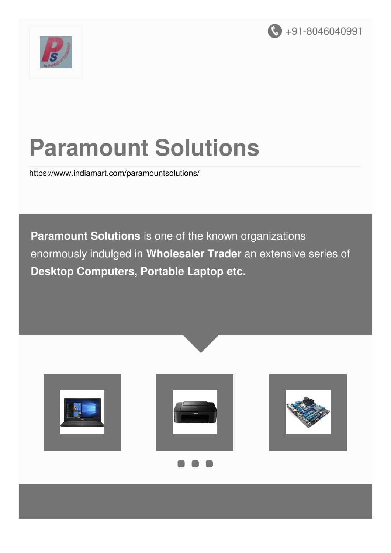



# **Paramount Solutions**

<https://www.indiamart.com/paramountsolutions/>

**Paramount Solutions** is one of the known organizations enormously indulged in **Wholesaler Trader** an extensive series of **Desktop Computers, Portable Laptop etc.**





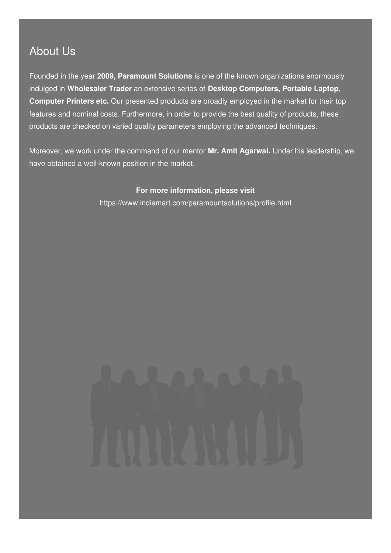### About Us

Founded in the year **2009, Paramount Solutions** is one of the known organizations enormously indulged in **Wholesaler Trader** an extensive series of **Desktop Computers, Portable Laptop, Computer Printers etc.** Our presented products are broadly employed in the market for their top features and nominal costs. Furthermore, in order to provide the best quality of products, these products are checked on varied quality parameters employing the advanced techniques.

Moreover, we work under the command of our mentor **Mr. Amit Agarwal.** Under his leadership, we have obtained a well-known position in the market.

**For more information, please visit**

<https://www.indiamart.com/paramountsolutions/profile.html>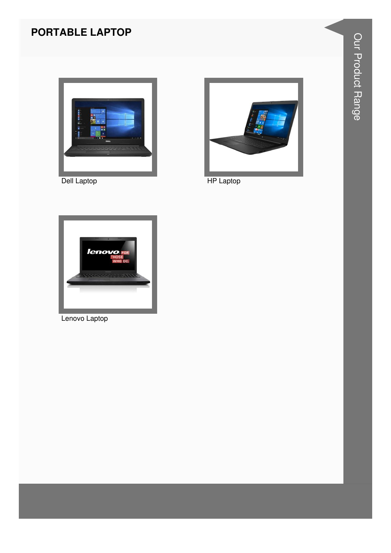#### **PORTABLE LAPTOP**



Dell Laptop



**HP Laptop** 



Lenovo Laptop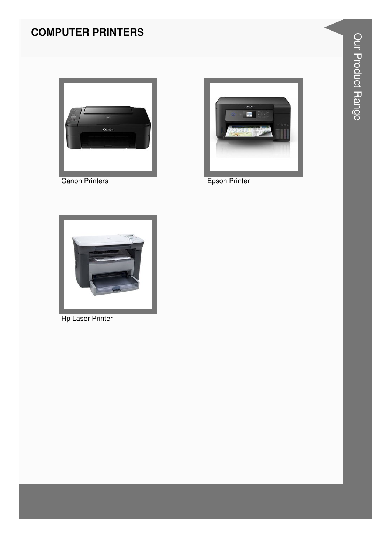### **COMPUTER PRINTERS**





Canon Printers **Epson Printer** 



Hp Laser Printer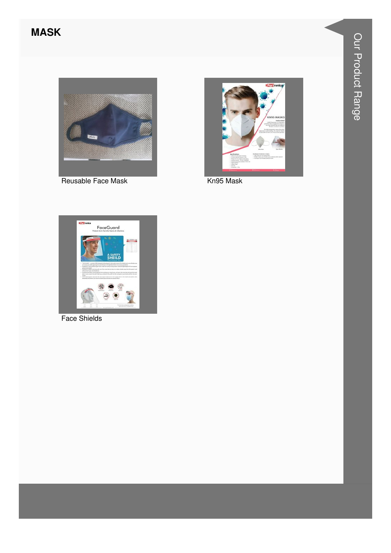#### **MASK**



Reusable Face Mask



Kn95 Mask



**Face Shields**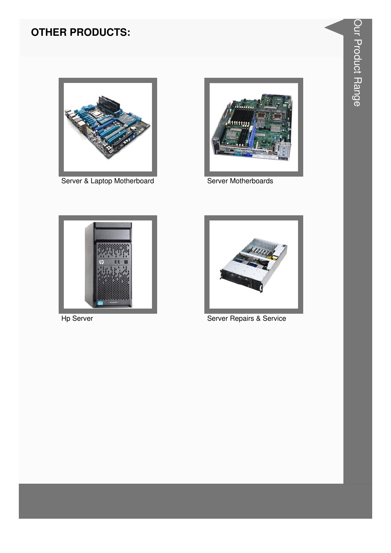

Server & Laptop Motherboard



Server Motherboards



Hp Server



Server Repairs & Service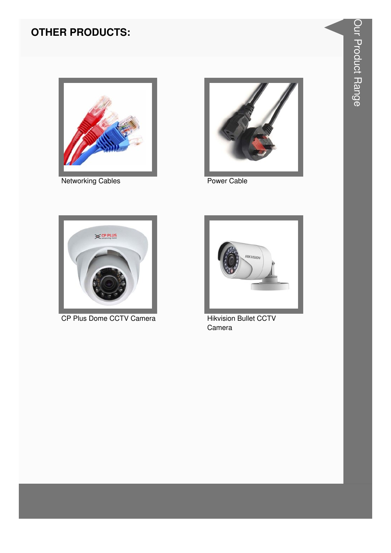

**Networking Cables** 



Power Cable



CP Plus Dome CCTV Camera



**Hikvision Bullet CCTV** Camera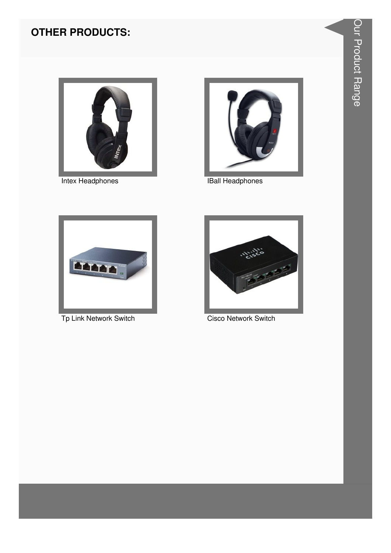

**Intex Headphones** 



**IBall Headphones** 



Tp Link Network Switch



**Cisco Network Switch**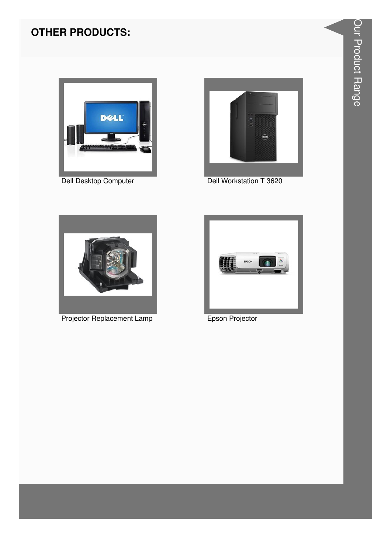

Dell Desktop Computer



Dell Workstation T 3620



**Projector Replacement Lamp** 



Epson Projector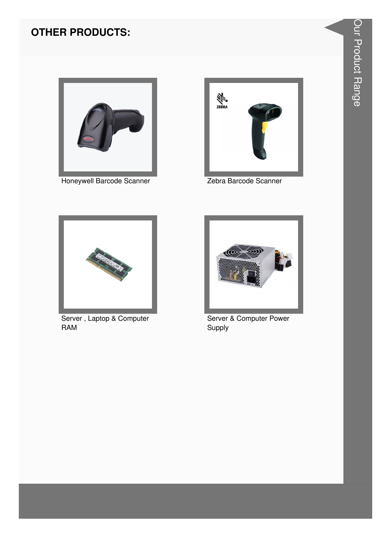

Honeywell Barcode Scanner



Zebra Barcode Scanner



Server, Laptop & Computer **RAM** 



Server & Computer Power Supply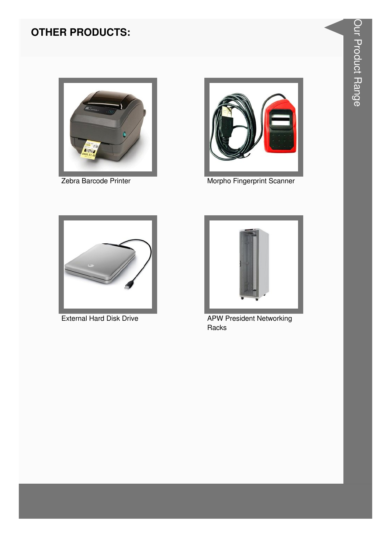

Zebra Barcode Printer



Morpho Fingerprint Scanner



**External Hard Disk Drive** 



**APW President Networking** Racks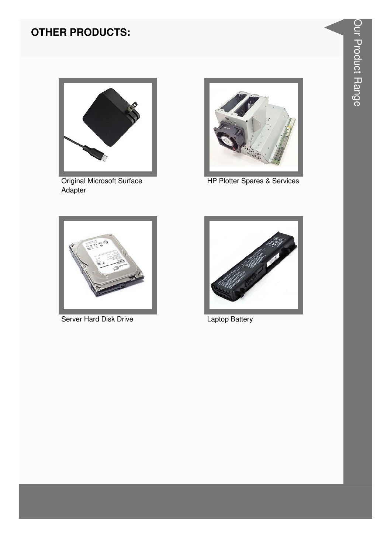

Original Microsoft Surface<br>Adapter



HP Plotter Spares & Services



Server Hard Disk Drive



**Laptop Battery**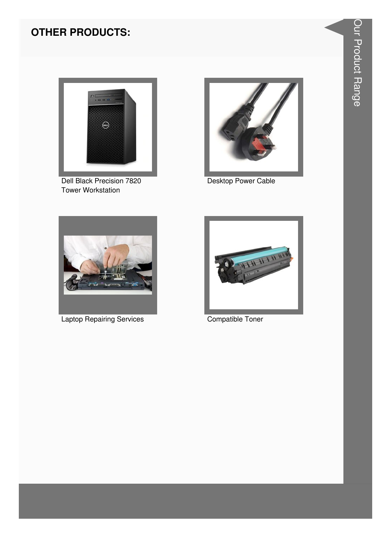

Dell Black Precision 7820 **Tower Workstation** 



Desktop Power Cable



**Laptop Repairing Services** 



Compatible Toner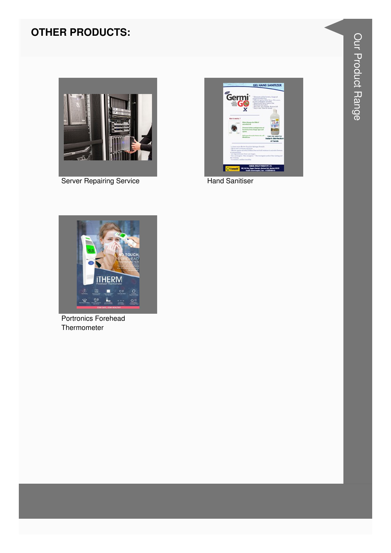

**Server Repairing Service** 



**Hand Sanitiser** 



Portronics Forehead Thermometer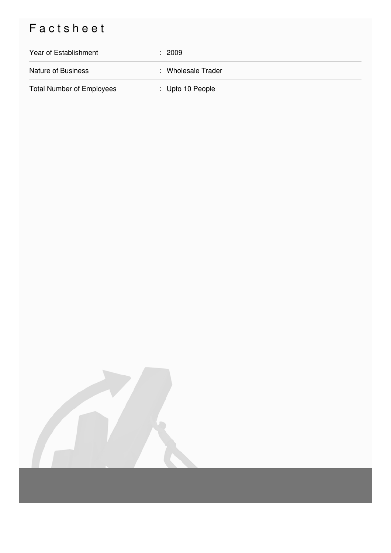## Factsheet

| Year of Establishment            | : 2009             |
|----------------------------------|--------------------|
| <b>Nature of Business</b>        | : Wholesale Trader |
| <b>Total Number of Employees</b> | : Upto 10 People   |